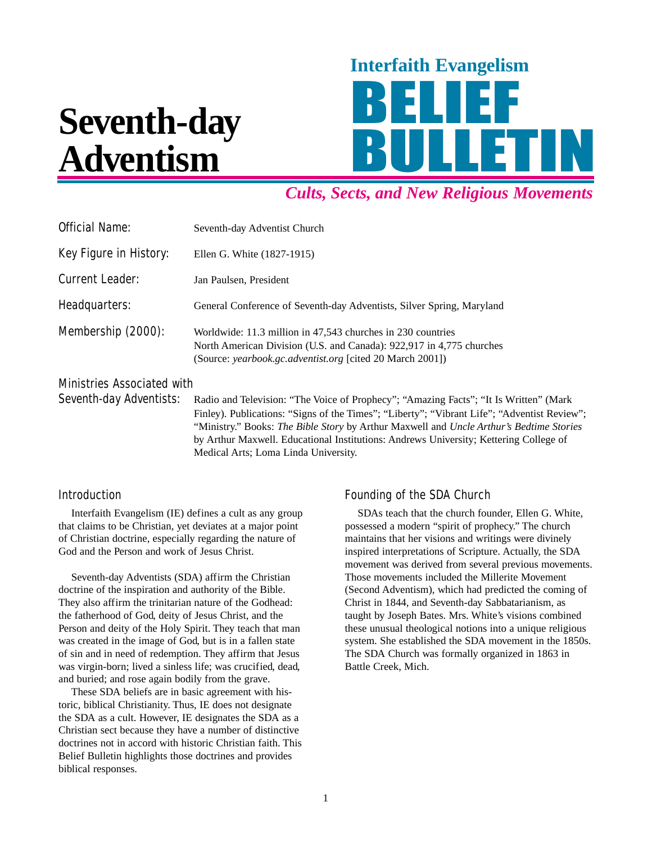# **Seventh-day Adventism**



# *Cults, Sects, and New Religious Movements*

| <b>Official Name:</b>         | Seventh-day Adventist Church                                                                                                                                                                     |
|-------------------------------|--------------------------------------------------------------------------------------------------------------------------------------------------------------------------------------------------|
| <b>Key Figure in History:</b> | Ellen G. White (1827-1915)                                                                                                                                                                       |
| <b>Current Leader:</b>        | Jan Paulsen, President                                                                                                                                                                           |
| Headquarters:                 | General Conference of Seventh-day Adventists, Silver Spring, Maryland                                                                                                                            |
| Membership (2000):            | Worldwide: 11.3 million in 47,543 churches in 230 countries<br>North American Division (U.S. and Canada): 922,917 in 4,775 churches<br>(Source: yearbook.gc.adventist.org [cited 20 March 2001]) |

Ministries Associated with

Seventh-day Adventists: Radio and Television: "The Voice of Prophecy"; "Amazing Facts"; "It Is Written" (Mark Finley). Publications: "Signs of the Times"; "Liberty"; "Vibrant Life"; "Adventist Review"; "Ministry." Books: *The Bible Story* by Arthur Maxwell and *Uncle Arthur's Bedtime Stories* by Arthur Maxwell. Educational Institutions: Andrews University; Kettering College of Medical Arts; Loma Linda University.

## **Introduction**

Interfaith Evangelism (IE) defines a cult as any group that claims to be Christian, yet deviates at a major point of Christian doctrine, especially regarding the nature of God and the Person and work of Jesus Christ.

Seventh-day Adventists (SDA) affirm the Christian doctrine of the inspiration and authority of the Bible. They also affirm the trinitarian nature of the Godhead: the fatherhood of God, deity of Jesus Christ, and the Person and deity of the Holy Spirit. They teach that man was created in the image of God, but is in a fallen state of sin and in need of redemption. They affirm that Jesus was virgin-born; lived a sinless life; was crucified, dead, and buried; and rose again bodily from the grave.

These SDA beliefs are in basic agreement with historic, biblical Christianity. Thus, IE does not designate the SDA as a cult. However, IE designates the SDA as a Christian sect because they have a number of distinctive doctrines not in accord with historic Christian faith. This Belief Bulletin highlights those doctrines and provides biblical responses.

## Founding of the SDA Church

SDAs teach that the church founder, Ellen G. White, possessed a modern "spirit of prophecy." The church maintains that her visions and writings were divinely inspired interpretations of Scripture. Actually, the SDA movement was derived from several previous movements. Those movements included the Millerite Movement (Second Adventism), which had predicted the coming of Christ in 1844, and Seventh-day Sabbatarianism, as taught by Joseph Bates. Mrs. White's visions combined these unusual theological notions into a unique religious system. She established the SDA movement in the 1850s. The SDA Church was formally organized in 1863 in Battle Creek, Mich.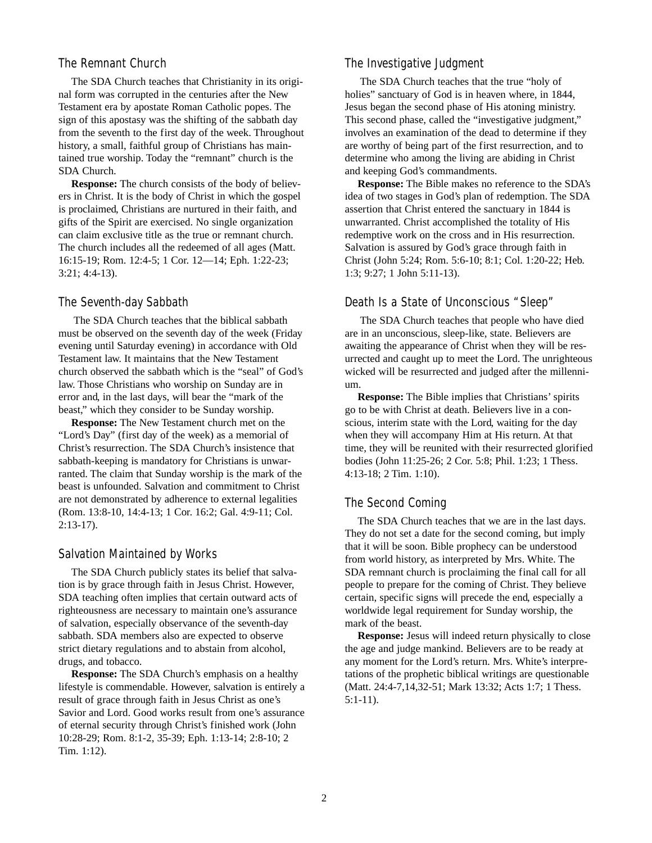#### The Remnant Church

The SDA Church teaches that Christianity in its original form was corrupted in the centuries after the New Testament era by apostate Roman Catholic popes. The sign of this apostasy was the shifting of the sabbath day from the seventh to the first day of the week. Throughout history, a small, faithful group of Christians has maintained true worship. Today the "remnant" church is the SDA Church.

**Response:** The church consists of the body of believers in Christ. It is the body of Christ in which the gospel is proclaimed, Christians are nurtured in their faith, and gifts of the Spirit are exercised. No single organization can claim exclusive title as the true or remnant church. The church includes all the redeemed of all ages (Matt. 16:15-19; Rom. 12:4-5; 1 Cor. 12—14; Eph. 1:22-23; 3:21; 4:4-13).

#### The Seventh-day Sabbath

The SDA Church teaches that the biblical sabbath must be observed on the seventh day of the week (Friday evening until Saturday evening) in accordance with Old Testament law. It maintains that the New Testament church observed the sabbath which is the "seal" of God's law. Those Christians who worship on Sunday are in error and, in the last days, will bear the "mark of the beast," which they consider to be Sunday worship.

**Response:** The New Testament church met on the "Lord's Day" (first day of the week) as a memorial of Christ's resurrection. The SDA Church's insistence that sabbath-keeping is mandatory for Christians is unwarranted. The claim that Sunday worship is the mark of the beast is unfounded. Salvation and commitment to Christ are not demonstrated by adherence to external legalities (Rom. 13:8-10, 14:4-13; 1 Cor. 16:2; Gal. 4:9-11; Col. 2:13-17).

#### Salvation Maintained by Works

The SDA Church publicly states its belief that salvation is by grace through faith in Jesus Christ. However, SDA teaching often implies that certain outward acts of righteousness are necessary to maintain one's assurance of salvation, especially observance of the seventh-day sabbath. SDA members also are expected to observe strict dietary regulations and to abstain from alcohol, drugs, and tobacco.

**Response:** The SDA Church's emphasis on a healthy lifestyle is commendable. However, salvation is entirely a result of grace through faith in Jesus Christ as one's Savior and Lord. Good works result from one's assurance of eternal security through Christ's finished work (John 10:28-29; Rom. 8:1-2, 35-39; Eph. 1:13-14; 2:8-10; 2 Tim. 1:12).

#### The Investigative Judgment

The SDA Church teaches that the true "holy of holies" sanctuary of God is in heaven where, in 1844, Jesus began the second phase of His atoning ministry. This second phase, called the "investigative judgment," involves an examination of the dead to determine if they are worthy of being part of the first resurrection, and to determine who among the living are abiding in Christ and keeping God's commandments.

**Response:** The Bible makes no reference to the SDA's idea of two stages in God's plan of redemption. The SDA assertion that Christ entered the sanctuary in 1844 is unwarranted. Christ accomplished the totality of His redemptive work on the cross and in His resurrection. Salvation is assured by God's grace through faith in Christ (John 5:24; Rom. 5:6-10; 8:1; Col. 1:20-22; Heb. 1:3; 9:27; 1 John 5:11-13).

#### Death Is a State of Unconscious "Sleep"

The SDA Church teaches that people who have died are in an unconscious, sleep-like, state. Believers are awaiting the appearance of Christ when they will be resurrected and caught up to meet the Lord. The unrighteous wicked will be resurrected and judged after the millennium.

**Response:** The Bible implies that Christians' spirits go to be with Christ at death. Believers live in a conscious, interim state with the Lord, waiting for the day when they will accompany Him at His return. At that time, they will be reunited with their resurrected glorified bodies (John 11:25-26; 2 Cor. 5:8; Phil. 1:23; 1 Thess. 4:13-18; 2 Tim. 1:10).

#### The Second Coming

The SDA Church teaches that we are in the last days. They do not set a date for the second coming, but imply that it will be soon. Bible prophecy can be understood from world history, as interpreted by Mrs. White. The SDA remnant church is proclaiming the final call for all people to prepare for the coming of Christ. They believe certain, specific signs will precede the end, especially a worldwide legal requirement for Sunday worship, the mark of the beast.

**Response:** Jesus will indeed return physically to close the age and judge mankind. Believers are to be ready at any moment for the Lord's return. Mrs. White's interpretations of the prophetic biblical writings are questionable (Matt. 24:4-7,14,32-51; Mark 13:32; Acts 1:7; 1 Thess. 5:1-11).